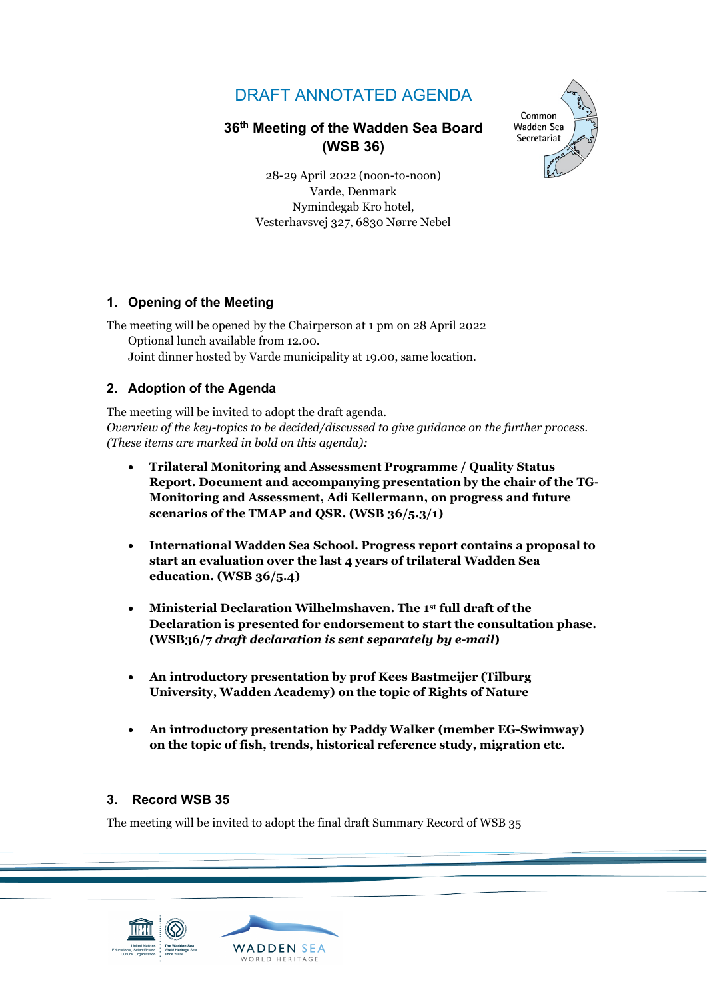# DRAFT ANNOTATED AGENDA

# **36th Meeting of the Wadden Sea Board (WSB 36)**



28-29 April 2022 (noon-to-noon) Varde, Denmark Nymindegab Kro hotel, Vesterhavsvej 327, 6830 Nørre Nebel

### **1. Opening of the Meeting**

The meeting will be opened by the Chairperson at 1 pm on 28 April 2022 Optional lunch available from 12.00. Joint dinner hosted by Varde municipality at 19.00, same location.

# **2. Adoption of the Agenda**

The meeting will be invited to adopt the draft agenda. *Overview of the key-topics to be decided/discussed to give guidance on the further process. (These items are marked in bold on this agenda):*

- **Trilateral Monitoring and Assessment Programme / Quality Status Report. Document and accompanying presentation by the chair of the TG-Monitoring and Assessment, Adi Kellermann, on progress and future scenarios of the TMAP and QSR. (WSB 36/5.3/1)**
- **International Wadden Sea School. Progress report contains a proposal to start an evaluation over the last 4 years of trilateral Wadden Sea education. (WSB 36/5.4)**
- **Ministerial Declaration Wilhelmshaven. The 1st full draft of the Declaration is presented for endorsement to start the consultation phase. (WSB36/7** *draft declaration is sent separately by e-mail***)**
- **An introductory presentation by prof Kees Bastmeijer (Tilburg University, Wadden Academy) on the topic of Rights of Nature**
- **An introductory presentation by Paddy Walker (member EG-Swimway) on the topic of fish, trends, historical reference study, migration etc.**

#### **3. Record WSB 35**

The meeting will be invited to adopt the final draft Summary Record of WSB 35

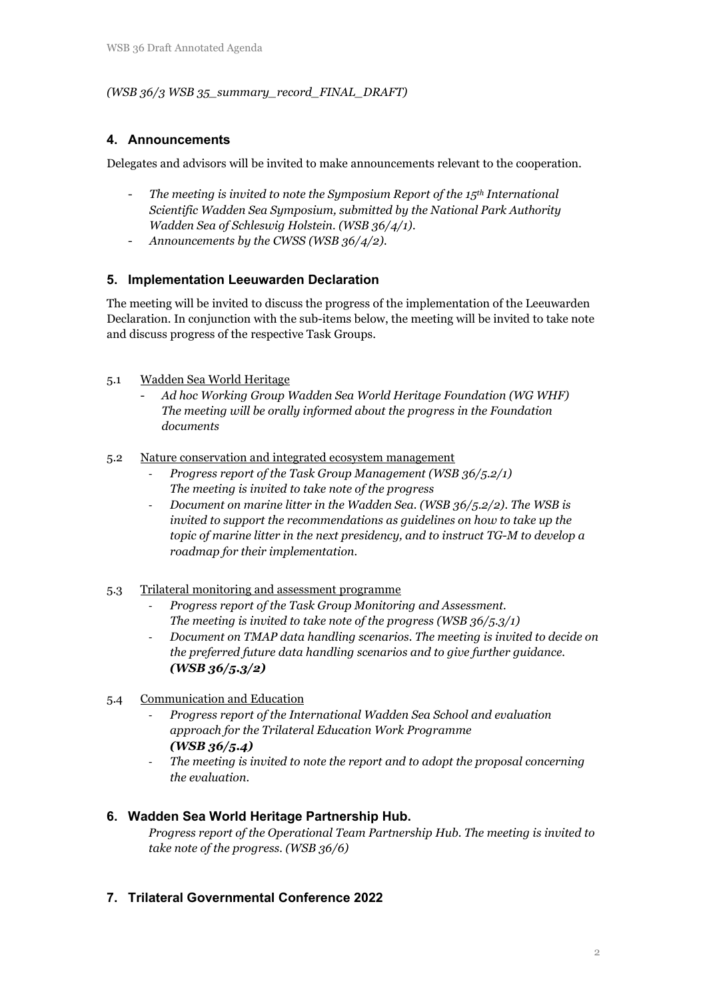#### *(WSB 36/3 WSB 35\_summary\_record\_FINAL\_DRAFT)*

#### **4. Announcements**

Delegates and advisors will be invited to make announcements relevant to the cooperation.

- *The meeting is invited to note the Symposium Report of the 15th International Scientific Wadden Sea Symposium, submitted by the National Park Authority Wadden Sea of Schleswig Holstein. (WSB 36/4/1).*
- *Announcements by the CWSS (WSB 36/4/2).*

#### **5. Implementation Leeuwarden Declaration**

The meeting will be invited to discuss the progress of the implementation of the Leeuwarden Declaration. In conjunction with the sub-items below, the meeting will be invited to take note and discuss progress of the respective Task Groups.

#### 5.1 Wadden Sea World Heritage

- *Ad hoc Working Group Wadden Sea World Heritage Foundation (WG WHF) The meeting will be orally informed about the progress in the Foundation documents* 

#### 5.2 Nature conservation and integrated ecosystem management

- *Progress report of the Task Group Management (WSB 36/5.2/1) The meeting is invited to take note of the progress*
- *Document on marine litter in the Wadden Sea. (WSB 36/5.2/2). The WSB is invited to support the recommendations as guidelines on how to take up the topic of marine litter in the next presidency, and to instruct TG-M to develop a roadmap for their implementation.*

#### 5.3 Trilateral monitoring and assessment programme

- *Progress report of the Task Group Monitoring and Assessment. The meeting is invited to take note of the progress (WSB 36/5.3/1)*
- *Document on TMAP data handling scenarios. The meeting is invited to decide on the preferred future data handling scenarios and to give further guidance. (WSB 36/5.3/2)*
- 5.4 Communication and Education
	- *Progress report of the International Wadden Sea School and evaluation approach for the Trilateral Education Work Programme (WSB 36/5.4)*
	- The meeting is invited to note the report and to adopt the proposal concerning *the evaluation.*

# **6. Wadden Sea World Heritage Partnership Hub.**

*Progress report of the Operational Team Partnership Hub. The meeting is invited to take note of the progress. (WSB 36/6)* 

# **7. Trilateral Governmental Conference 2022**